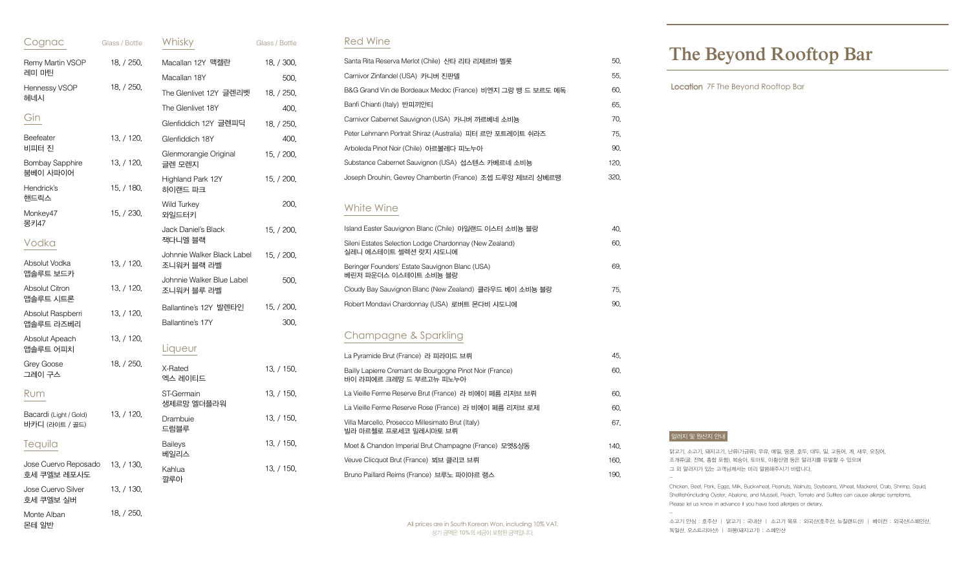닭고기, 소고기, 돼지고기, 난류(가금류), 우유, 메밀, 땅콩, 호두, 대두, 밀, 고등어, 게, 새우, 오징어, 조개류(굴, 전복, 홍합 포함), 복숭아, 토마토, 아황산염 등은 알러지를 유발할 수 있으며 그 외 알러지가 있는 고객님께서는 미리 말씀해주시기 바랍니다.

Chicken, Beef, Pork, Eggs, Milk, Buckwheat, Peanuts, Walnuts, Soybeans, Wheat, Mackerel, Crab, Shrimp, Squid, Shellfish(including Oyster, Abalone, and Mussel), Peach, Tomato and Sulfites can cause allergic symptoms. Please let us know in advance if you have food allergies or dietary.

-

소고기 안심 : 호주산 | 닭고기 : 국내산 | 소고기 육포 : 외국산(호주산, 뉴질랜드산) | 베이컨 : 외국산(스페인산, 독일산, 오스트리아산) | 하몽(돼지고기) : 스페인산

#### 알러지 및 원산지 안내

# **The Beyond Rooftop Bar**

Location 7F The Beyond Rooftop Bar

| Cognac                                   | Glass / Bottle | Whisky                                   | Glass / Bottle |
|------------------------------------------|----------------|------------------------------------------|----------------|
| Remy Martin VSOP                         | 18, / 250,     | Macallan 12Y 맥켈란                         | 18, / 300,     |
| 레미 마틴                                    |                | Macallan 18Y                             | 500,           |
| Hennessy VSOP<br>헤네시                     | 18, / 250,     | The Glenlivet 12Y 글렌리벳                   | 18, / 250,     |
|                                          |                | The Glenlivet 18Y                        | 400,           |
| Gin                                      |                | Glenfiddich 12Y 글렌피딕                     | 18, / 250,     |
| Beefeater<br>비피터 진                       | 13, / 120,     | Glenfiddich 18Y                          | 400,           |
| <b>Bombay Sapphire</b><br>붐베이 사파이어       | 13, / 120,     | Glenmorangie Original<br>글렌 모렌지          | 15, / 200,     |
| Hendrick's                               | 15, / 180,     | Highland Park 12Y<br>하이랜드 파크             | 15, / 200,     |
| 핸드릭스<br>Monkey47                         | 15, / 230,     | <b>Wild Turkey</b><br>와일드터키              | 200,           |
| 몽키47<br>Vodka                            |                | Jack Daniel's Black<br>잭다니엘 블랙           | 15, / 200,     |
| Absolut Vodka                            | 13, / 120,     | Johnnie Walker Black Label<br>조니워커 블랙 라벨 | 15, / 200,     |
| 앱솔루트 보드카                                 |                | Johnnie Walker Blue Label                | 500,           |
| <b>Absolut Citron</b><br>앱솔루트 시트론        | 13, / 120,     | 조니워커 블루 라벨                               |                |
| Absolut Raspberri                        | 13, / 120,     | Ballantine's 12Y 발렌타인                    | 15, / 200,     |
| 앱솔루트 라즈베리                                |                | Ballantine's 17Y                         | 300,           |
| Absolut Apeach<br>앱솔루트 어피치               | 13, / 120,     | Liqueur                                  |                |
| Grey Goose<br>그레이 구스                     | 18, / 250,     | X-Rated<br>엑스 레이티드                       | 13, / 150,     |
| Rum                                      |                | ST-Germain<br>생제르망 엘더플라워                 | 13, / 150,     |
| Bacardi (Light / Gold)<br>바카디 (라이트 / 골드) | 13, / 120,     | Drambuie<br>드럼블루                         | 13, / 150,     |
| Tequila                                  |                | <b>Baileys</b><br>베일리스                   | 13, / 150,     |
| Jose Cuervo Reposado<br>호세 쿠엘보 레포사도      | 13, / 130,     | Kahlua<br>깔루아                            | 13, / 150,     |
| Jose Cuervo Silver<br>호세 쿠엘보 실버          | 13, / 130,     |                                          |                |
| Monte Alban<br>몬테 알반                     | 18, / 250,     |                                          |                |

| Santa Rita Reserva Merlot (Chile) 사타 리타 리제르바 멜롯            | 50.  |
|------------------------------------------------------------|------|
| Carnivor Zinfandel (USA) 카니버 진판델                           | 55.  |
| B&G Grand Vin de Bordeaux Medoc (France) 비엔지 그랑 뱅 드 보르도 메독 | 60.  |
| Banfi Chianti (Italy) 반피끼안티                                | 65.  |
| Carnivor Cabernet Sauvignon (USA) 카니버 까르베네 소비뇽             | 70.  |
| Peter Lehmann Portrait Shiraz (Australia) 피터 르만 포트레이트 쉬라즈  | 75.  |
| Arboleda Pinot Noir (Chile) 아르볼레다 피노누아                     | 90.  |
| Substance Cabernet Sauvignon (USA) 섭스텐스 카베르네 소비뇽           | 120. |
| Joseph Drouhin, Gevrey Chambertin (France) 조셉 드루앙 제브리 샹베르땡 | 320. |
|                                                            |      |

| La Pyramide Brut (France) 라 피라미드 브뤼                                                 | 45.  |
|-------------------------------------------------------------------------------------|------|
| Bailly Lapierre Cremant de Bourgogne Pinot Noir (France)<br>바이 라피에르 크레망 드 부르고뉴 피노누아 | 60.  |
| La Vieille Ferme Reserve Brut (France) 라 비에이 페름 리저브 브뤼                              | 60.  |
| La Vieille Ferme Reserve Rose (France) 라 비에이 페름 리저브 로제                              | 60.  |
| Villa Marcello, Prosecco Millesimato Brut (Italy)<br>빌라 마르첼로 프로세코 밀레시마토 브뤼          | 67.  |
| Moet & Chandon Imperial Brut Champagne (France) 모엣&샹동                               | 140. |
| Veuve Clicquot Brut (France) 뵈브 클리코 브뤼                                              | 160. |
| Bruno Paillard Reims (France) 브루노 파이야르 랭스                                           | 190. |

| Island Easter Sauvignon Blanc (Chile) 아일랜드 이스터 소비뇽 블랑                            | 40. |
|----------------------------------------------------------------------------------|-----|
| Sileni Estates Selection Lodge Chardonnay (New Zealand)<br>실레니 에스테이트 셀렉션 랏지 샤도니에 | 60. |
| Beringer Founders' Estate Sauvignon Blanc (USA)<br>베린저 파운더스 이스테이트 소비뇽 블랑         | 69. |
| Cloudy Bay Sauvignon Blanc (New Zealand) 클라우드 베이 소비뇽 블랑                          | 75. |
| Robert Mondavi Chardonnay (USA) 로버트 몬다비 샤도니에                                     | 90. |

### Red Wine

## Champagne & Sparkling

### White Wine